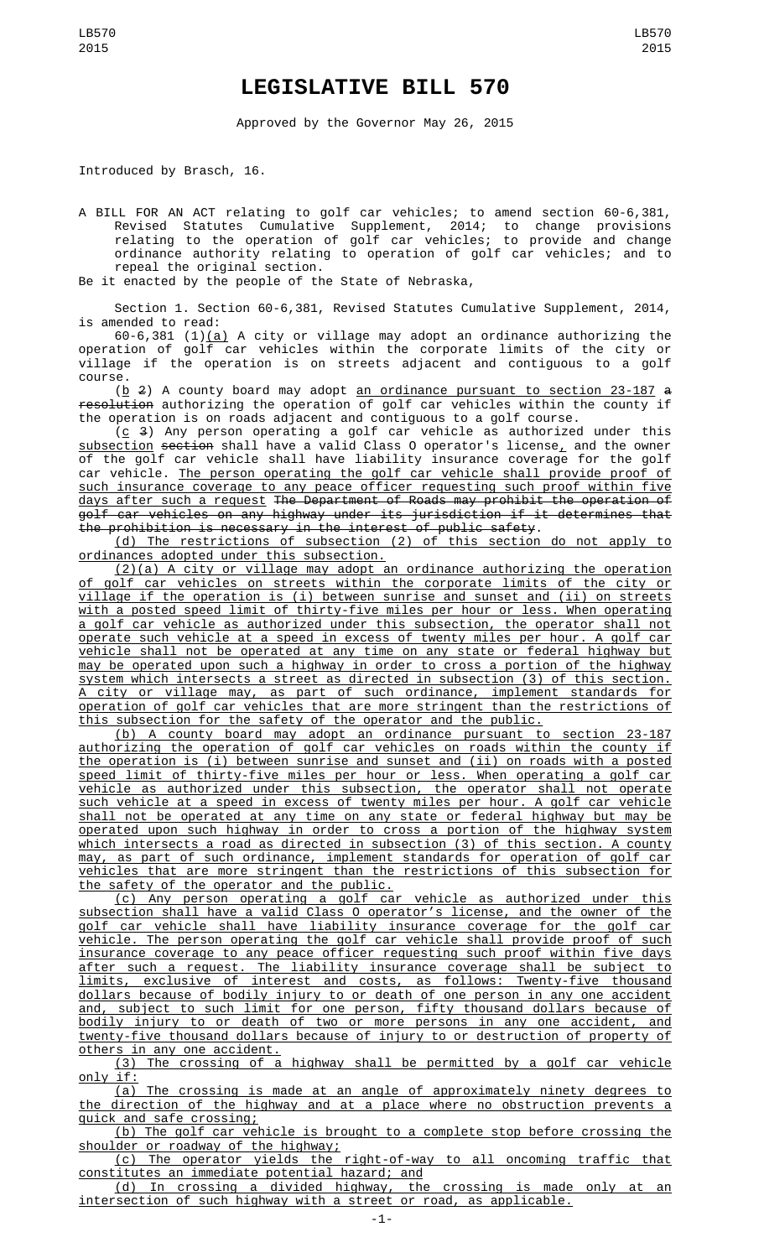## **LEGISLATIVE BILL 570**

Approved by the Governor May 26, 2015

Introduced by Brasch, 16.

A BILL FOR AN ACT relating to golf car vehicles; to amend section 60-6,381, Revised Statutes Cumulative Supplement, 2014; to change provisions relating to the operation of golf car vehicles; to provide and change ordinance authority relating to operation of golf car vehicles; and to repeal the original section.

Be it enacted by the people of the State of Nebraska,

Section 1. Section 60-6,381, Revised Statutes Cumulative Supplement, 2014, is amended to read:

60-6,381 (1)(a) A city or village may adopt an ordinance authorizing the operation of golf car vehicles within the corporate limits of the city or village if the operation is on streets adjacent and contiguous to a golf course.

(<u>b</u> 2) A county board may adopt <u>an ordinance pursuant to section 23-187</u> <del>a</del> resolution authorizing the operation of golf car vehicles within the county if the operation is on roads adjacent and contiguous to a golf course.

( $\underline{c}$  3) Any person operating a golf car vehicle as authorized under this  ${\tt subsection}$  section shall have a valid Class O operator's license ${}_L$  and the owner of the golf car vehicle shall have liability insurance coverage for the golf car vehicle. The person operating the golf car vehicle shall provide proof of such insurance coverage to any peace officer requesting such proof within five days after such a request The Department of Roads may prohibit the operation of golf car vehicles on any highway under its jurisdiction if it determines that the prohibition is necessary in the interest of public safety.

(d) The restrictions of subsection (2) of this section do not apply to ordinances adopted under this subsection.

(2)(a) A city or village may adopt an ordinance authorizing the operation of golf car vehicles on streets within the corporate limits of the city or village if the operation is (i) between sunrise and sunset and (ii) on streets with a posted speed limit of thirty-five miles per hour or less. When operating a golf car vehicle as authorized under this subsection, the operator shall not operate such vehicle at a speed in excess of twenty miles per hour. A golf car vehicle shall not be operated at any time on any state or federal highway but may be operated upon such a highway in order to cross a portion of the highway system which intersects a street as directed in subsection (3) of this section. A city or village may, as part of such ordinance, implement standards for operation of golf car vehicles that are more stringent than the restrictions of this subsection for the safety of the operator and the public.

(b) A county board may adopt an ordinance pursuant to section 23-187 authorizing the operation of golf car vehicles on roads within the county if the operation is (i) between sunrise and sunset and (ii) on roads with a posted speed limit of thirty-five miles per hour or less. When operating a golf car vehicle as authorized under this subsection, the operator shall not operate such vehicle at a speed in excess of twenty miles per hour. A golf car vehicle shall not be operated at any time on any state or federal highway but may be operated upon such highway in order to cross a portion of the highway system which intersects a road as directed in subsection (3) of this section. A county may, as part of such ordinance, implement standards for operation of golf car vehicles that are more stringent than the restrictions of this subsection for the safety of the operator and the public.

(c) Any person operating a golf car vehicle as authorized under this subsection shall have a valid Class O operator's license, and the owner of the golf car vehicle shall have liability insurance coverage for the golf car vehicle. The person operating the golf car vehicle shall provide proof of such insurance coverage to any peace officer requesting such proof within five days after such a request. The liability insurance coverage shall be subject to limits, exclusive of interest and costs, as follows: Twenty-five thousand dollars because of bodily injury to or death of one person in any one accident and, subject to such limit for one person, fifty thousand dollars because of bodily injury to or death of two or more persons in any one accident, and twenty-five thousand dollars because of injury to or destruction of property of others in any one accident.

(3) The crossing of a highway shall be permitted by a golf car vehicle only if:

(a) The crossing is made at an angle of approximately ninety degrees to the direction of the highway and at a place where no obstruction prevents a quick and safe crossing;

(b) The golf car vehicle is brought to a complete stop before crossing the shoulder or roadway of the highway;

(c) The operator yields the right-of-way to all oncoming traffic that constitutes an immediate potential hazard; and

(d) In crossing a divided highway, the crossing is made only at an intersection of such highway with a street or road, as applicable.